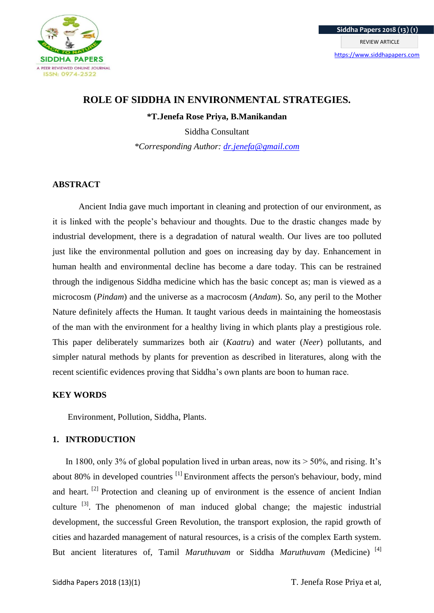

# **ROLE OF SIDDHA IN ENVIRONMENTAL STRATEGIES.**

**\*T.Jenefa Rose Priya, B.Manikandan**

Siddha Consultant *\*Corresponding Author: [dr.jenefa@gmail.com](mailto:dr.jenefa@gmail.com)*

# **ABSTRACT**

Ancient India gave much important in cleaning and protection of our environment, as it is linked with the people's behaviour and thoughts. Due to the drastic changes made by industrial development, there is a degradation of natural wealth. Our lives are too polluted just like the environmental pollution and goes on increasing day by day. Enhancement in human health and environmental decline has become a dare today. This can be restrained through the indigenous Siddha medicine which has the basic concept as; man is viewed as a microcosm (*Pindam*) and the universe as a macrocosm (*Andam*). So, any peril to the Mother Nature definitely affects the Human. It taught various deeds in maintaining the homeostasis of the man with the environment for a healthy living in which plants play a prestigious role. This paper deliberately summarizes both air (*Kaatru*) and water (*Neer*) pollutants, and simpler natural methods by plants for prevention as described in literatures, along with the recent scientific evidences proving that Siddha's own plants are boon to human race.

# **KEY WORDS**

Environment, Pollution, Siddha, Plants.

# **1. INTRODUCTION**

In 1800, only 3% of global population lived in urban areas, now its  $> 50\%$ , and rising. It's about 80% in developed countries <sup>[1]</sup> Environment affects the person's behaviour, body, [mind](https://simple.wikipedia.org/wiki/Mind) and heart.<sup>[2]</sup> Protection and cleaning up of environment is the essence of ancient Indian culture  $\begin{bmatrix} 3 \end{bmatrix}$ . The phenomenon of man induced global change; the majestic industrial development, the successful Green Revolution, the transport explosion, the rapid growth of cities and hazarded management of natural resources, is a crisis of the complex Earth system. But ancient literatures of, Tamil *Maruthuvam* or Siddha *Maruthuvam* (Medicine) [4]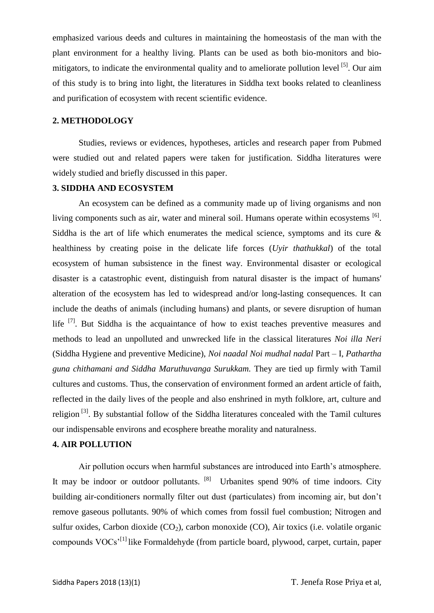emphasized various deeds and cultures in maintaining the homeostasis of the man with the plant environment for a healthy living. Plants can be used as both bio-monitors and biomitigators, to indicate the environmental quality and to ameliorate pollution level  $[5]$ . Our aim of this study is to bring into light, the literatures in Siddha text books related to cleanliness and purification of ecosystem with recent scientific evidence.

## **2. METHODOLOGY**

Studies, reviews or evidences, hypotheses, articles and research paper from Pubmed were studied out and related papers were taken for justification. Siddha literatures were widely studied and briefly discussed in this paper.

## **3. SIDDHA AND ECOSYSTEM**

An ecosystem can be defined as a community made up of living organisms and non living components such as air, water and mineral soil. Humans operate within ecosystems <sup>[6]</sup>. Siddha is the art of life which enumerates the medical science, symptoms and its cure  $\&$ healthiness by creating poise in the delicate life forces (*Uyir thathukkal*) of the total ecosystem of human subsistence in the finest way. Environmental disaster or ecological disaster is a catastrophic event, distinguish from [natural disaster](https://en.wikipedia.org/wiki/Natural_disaster) is the impact of humans' alteration of the [ecosystem](https://en.wikipedia.org/wiki/Ecosystem) has led to widespread and/or long-lasting consequences. It can include the deaths of animals (including humans) and plants, or severe disruption of human life  $[7]$ . But Siddha is the acquaintance of how to exist teaches preventive measures and methods to lead an unpolluted and unwrecked life in the classical literatures *Noi illa Neri* (Siddha Hygiene and preventive Medicine), *Noi naadal Noi mudhal nadal* Part – I, *Pathartha guna chithamani and Siddha Maruthuvanga Surukkam.* They are tied up firmly with Tamil cultures and customs. Thus, the conservation of environment formed an ardent article of faith, reflected in the daily lives of the people and also enshrined in myth folklore, art, culture and religion<sup>[3]</sup>. By substantial follow of the Siddha literatures concealed with the Tamil cultures our indispensable environs and ecosphere breathe morality and naturalness.

## **4. AIR POLLUTION**

Air pollution occurs when harmful substances are introduced into Earth's atmosphere. It may be indoor or outdoor pollutants. [8] Urbanites spend 90% of time indoors. City building air-conditioners normally filter out dust (particulates) from incoming air, but don't remove gaseous pollutants. 90% of which comes from fossil fuel combustion; Nitrogen and sulfur oxides, Carbon dioxide  $(CO_2)$ , carbon monoxide  $(CO)$ , Air toxics (i.e. volatile organic compounds  $VOCs<sup>11</sup>$  like Formaldehyde (from particle board, plywood, carpet, curtain, paper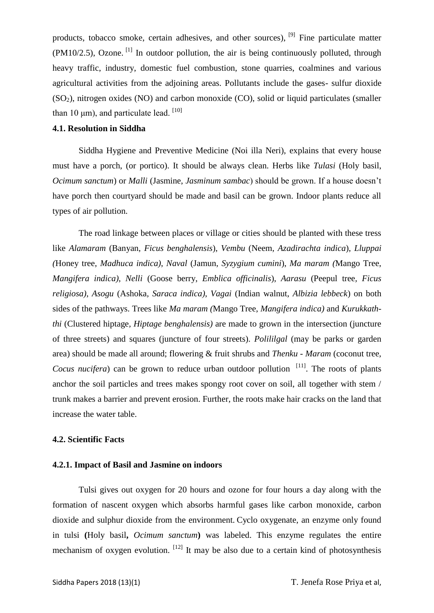products, tobacco smoke, certain adhesives, and other sources), <sup>[9]</sup> Fine particulate matter  $(PM10/2.5)$ , Ozone. <sup>[1]</sup> In outdoor pollution, the air is being continuously polluted, through heavy traffic, industry, domestic fuel combustion, stone quarries, coalmines and various agricultural activities from the adjoining areas. Pollutants include the gases- sulfur dioxide (SO2), nitrogen oxides (NO) and carbon monoxide (CO), solid or liquid particulates (smaller than 10 μm), and particulate lead.  $[10]$ 

# **4.1. Resolution in Siddha**

Siddha Hygiene and Preventive Medicine (Noi illa Neri), explains that every house must have a porch, (or portico). It should be always clean. Herbs like *Tulasi* (Holy basil, *Ocimum sanctum*) or *Malli* (Jasmine, *Jasminum sambac*) should be grown. If a house doesn't have porch then courtyard should be made and basil can be grown. Indoor plants reduce all types of air pollution.

The road linkage between places or village or cities should be planted with these tress like *Alamaram* (Banyan, *Ficus benghalensis*), *Vembu* (Neem, *Azadirachta indica*), *Lluppai (*Honey tree, *Madhuca indica)*, *Naval* (Jamun, *Syzygium cumini*), *Ma maram (*Mango Tree, *Mangifera indica)*, *Nelli* (Goose berry, *Emblica officinalis*), *Aarasu* (Peepul tree*, Ficus religiosa)*, *Asogu* (Ashoka*, Saraca indica)*, *Vagai* (Indian walnut, *Albizia lebbeck*) on both sides of the pathways. Trees like *Ma maram (*Mango Tree, *Mangifera indica)* and *Kurukkaththi* (Clustered hiptage*, Hiptage benghalensis)* are made to grown in the intersection (juncture of three streets) and squares (juncture of four streets). *Polililgal* (may be parks or garden area) should be made all around; flowering & fruit shrubs and *Thenku* - *Maram* (coconut tree, *Cocus nucifera*) can be grown to reduce urban outdoor pollution <sup>[11]</sup>. The roots of plants anchor the soil particles and trees makes spongy root cover on soil, all together with stem / trunk makes a barrier and prevent erosion. Further, the roots make hair cracks on the land that increase the water table.

#### **4.2. Scientific Facts**

#### **4.2.1. Impact of Basil and Jasmine on indoors**

Tulsi gives out oxygen for 20 hours and ozone for four hours a day along with the formation of nascent oxygen which absorbs harmful gases like carbon monoxide, carbon dioxide and sulphur dioxide from the environment. Cyclo oxygenate, an enzyme only found in tulsi **(**Holy basil**,** *Ocimum sanctum***)** was labeled. This enzyme regulates the entire mechanism of oxygen evolution.  $\left[12\right]$  It may be also due to a certain kind of photosynthesis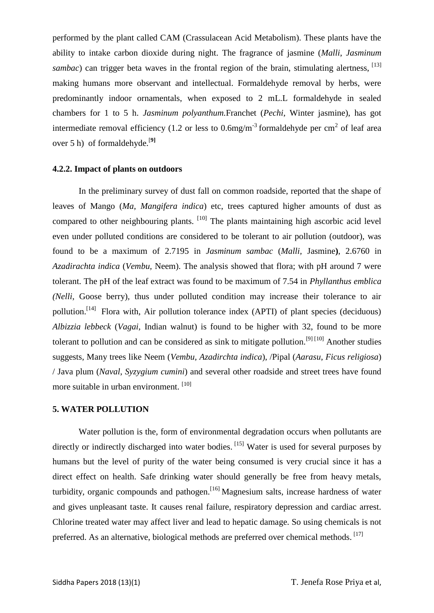performed by the plant called CAM (Crassulacean Acid Metabolism). These plants have the ability to intake carbon dioxide during night. The fragrance of jasmine (*Malli*, *Jasminum sambac*) can trigger beta waves in the frontal region of the brain, stimulating alertness. <sup>[13]</sup> making humans more observant and intellectual. Formaldehyde removal by herbs, were predominantly indoor ornamentals, when exposed to 2 mL.L formaldehyde in sealed chambers for 1 to 5 h. *Jasminum polyanthum.*Franchet (*Pechi*, Winter jasmine), has got intermediate removal efficiency (1.2 or less to 0.6mg/m<sup>-3</sup> formaldehyde per cm<sup>2</sup> of leaf area over 5 h) of formaldehyde.[**9]**

### **4.2.2. Impact of plants on outdoors**

In the preliminary survey of dust fall on common roadside, reported that the shape of leaves of Mango (*Ma*, *Mangifera indica*) etc, trees captured higher amounts of dust as compared to other neighbouring plants. [10] The plants maintaining high ascorbic acid level even under polluted conditions are considered to be tolerant to air pollution (outdoor), was found to be a maximum of 2.7195 in *Jasminum sambac* (*Malli,* Jasmine**)**, 2.6760 in *Azadirachta indica* (*Vembu,* Neem). The analysis showed that flora; with pH around 7 were tolerant. The pH of the leaf extract was found to be maximum of 7.54 in *Phyllanthus emblica (Nelli*, Goose berry)*,* thus under polluted condition may increase their tolerance to air pollution.<sup>[14]</sup> Flora with, Air pollution tolerance index (APTI) of plant species (deciduous) *Albizzia lebbeck* (*Vagai*, Indian walnut) is found to be higher with 32, found to be more tolerant to pollution and can be considered as sink to mitigate pollution.<sup>[9] [10]</sup> Another studies suggests, Many trees like Neem (*Vembu, Azadirchta indica*), /Pipal (*Aarasu*, *Ficus religiosa*) / Java plum (*Naval*, *Syzygium cumini*) and several other roadside and street trees have found more suitable in urban environment. [10]

#### **5. WATER POLLUTION**

Water pollution is the, form of [environmental degradation](https://en.wikipedia.org/wiki/Environmental_degradation) occurs when [pollutants](https://en.wikipedia.org/wiki/Pollutant) are directly or indirectly discharged into water bodies. <sup>[15]</sup> Water is used for several purposes by humans but the level of purity of the water being consumed is very crucial since it has a direct effect on health. Safe drinking water should generally be free from heavy metals, turbidity, organic compounds and pathogen.<sup>[16]</sup> Magnesium salts, increase hardness of water and gives unpleasant taste. It causes renal failure, respiratory depression and cardiac arrest. Chlorine treated water may affect liver and lead to hepatic damage. So using chemicals is not preferred. As an alternative, biological methods are preferred over chemical methods. [17]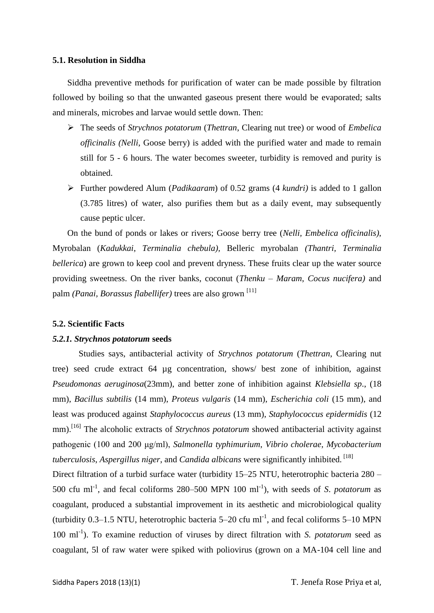## **5.1. Resolution in Siddha**

Siddha preventive methods for purification of water can be made possible by filtration followed by boiling so that the unwanted gaseous present there would be evaporated; salts and minerals, microbes and larvae would settle down. Then:

- The seeds of *Strychnos potatorum* (*Thettran*, Clearing nut tree) or wood of *Embelica officinalis (Nelli*, Goose berry) is added with the purified water and made to remain still for 5 - 6 hours. The water becomes sweeter, turbidity is removed and purity is obtained.
- Further powdered Alum (*Padikaaram*) of 0.52 grams (4 *kundri)* is added to 1 gallon (3.785 litres) of water, also purifies them but as a daily event, may subsequently cause peptic ulcer.

On the bund of ponds or lakes or rivers; Goose berry tree (*Nelli, Embelica officinalis)*, Myrobalan (*Kadukkai*, *Terminalia chebula),* Belleric myrobalan *(Thantri, Terminalia bellerica*) are grown to keep cool and prevent dryness. These fruits clear up the water source providing sweetness. On the river banks, coconut (*Thenku* – *Maram*, *Cocus nucifera)* and palm *(Panai, Borassus flabellifer)* trees are also grown [11]

## **5.2. Scientific Facts**

#### *5.2.1. Strychnos potatorum* **seeds**

Studies says, antibacterial activity of *Strychnos potatorum* (*Thettran*, Clearing nut tree) seed crude extract 64 µg concentration, shows/ best zone of inhibition, against *Pseudomonas aeruginosa*(23mm), and better zone of inhibition against *Klebsiella sp*., (18 mm), *Bacillus subtilis* (14 mm), *Proteus vulgaris* (14 mm), *Escherichia coli* (15 mm), and least was produced against *Staphylococcus aureus* (13 mm), *Staphylococcus epidermidis* (12 mm).<sup>[16]</sup> The alcoholic extracts of *Strychnos potatorum* showed antibacterial activity against pathogenic (100 and 200 μg/ml), *Salmonella typhimurium*, *Vibrio cholerae*, *Mycobacterium tuberculosis*, *Aspergillus niger*, and *Candida albicans* were significantly inhibited. [18]

Direct filtration of a turbid surface water (turbidity 15–25 NTU, heterotrophic bacteria 280 – 500 cfu ml<sup>-1</sup>, and fecal coliforms 280–500 MPN 100 ml<sup>-1</sup>), with seeds of *S. potatorum* as coagulant, produced a substantial improvement in its aesthetic and microbiological quality (turbidity 0.3–1.5 NTU, heterotrophic bacteria  $5-20$  cfu ml<sup>-1</sup>, and fecal coliforms  $5-10$  MPN 100 ml<sup>-1</sup>). To examine reduction of viruses by direct filtration with *S. potatorum* seed as coagulant, 5l of raw water were spiked with poliovirus (grown on a MA-104 cell line and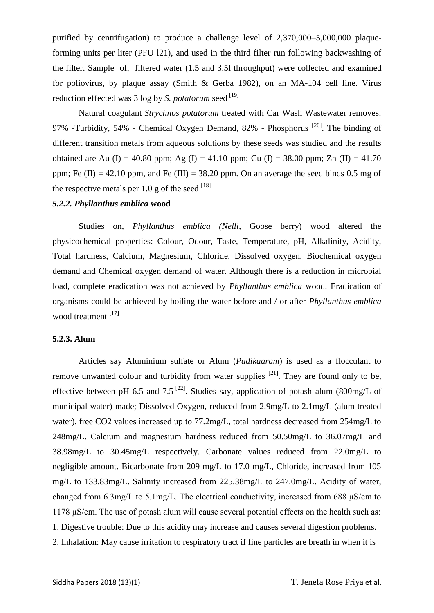purified by centrifugation) to produce a challenge level of 2,370,000–5,000,000 plaqueforming units per liter (PFU l21), and used in the third filter run following backwashing of the filter. Sample of, filtered water (1.5 and 3.5l throughput) were collected and examined for poliovirus, by plaque assay (Smith & Gerba 1982), on an MA-104 cell line. Virus reduction effected was 3 log by *S. potatorum* seed <sup>[19]</sup>

Natural coagulant *Strychnos potatorum* treated with Car Wash Wastewater removes: 97% -Turbidity, 54% - Chemical Oxygen Demand, 82% - Phosphorus <sup>[20]</sup>. The binding of different transition metals from aqueous solutions by these seeds was studied and the results obtained are Au (I) = 40.80 ppm; Ag (I) = 41.10 ppm; Cu (I) = 38.00 ppm; Zn (II) = 41.70 ppm; Fe  $(II) = 42.10$  ppm, and Fe  $(III) = 38.20$  ppm. On an average the seed binds 0.5 mg of the respective metals per 1.0 g of the seed  $^{[18]}$ 

## *5.2.2. Phyllanthus emblica* **wood**

Studies on, *Phyllanthus emblica (Nelli*, Goose berry) wood altered the physicochemical properties: Colour, Odour, Taste, Temperature, pH, Alkalinity, Acidity, Total hardness, Calcium, Magnesium, Chloride, Dissolved oxygen, Biochemical oxygen demand and Chemical oxygen demand of water. Although there is a reduction in microbial load, complete eradication was not achieved by *Phyllanthus emblica* wood. Eradication of organisms could be achieved by boiling the water before and / or after *Phyllanthus emblica*  wood treatment<sup>[17]</sup>

## **5.2.3. Alum**

Articles say Aluminium sulfate or Alum (*Padikaaram*) is used as a flocculant to remove unwanted colour and turbidity from water supplies  $[21]$ . They are found only to be, effective between pH 6.5 and 7.5<sup>[22]</sup>. Studies say, application of potash alum (800mg/L of municipal water) made; Dissolved Oxygen, reduced from 2.9mg/L to 2.1mg/L (alum treated water), free CO2 values increased up to 77.2mg/L, total hardness decreased from 254mg/L to 248mg/L. Calcium and magnesium hardness reduced from 50.50mg/L to 36.07mg/L and 38.98mg/L to 30.45mg/L respectively. Carbonate values reduced from 22.0mg/L to negligible amount. Bicarbonate from 209 mg/L to 17.0 mg/L, Chloride, increased from 105 mg/L to 133.83mg/L. Salinity increased from 225.38mg/L to 247.0mg/L. Acidity of water, changed from 6.3mg/L to 5.1mg/L. The electrical conductivity, increased from 688 μS/cm to 1178 μS/cm. The use of potash alum will cause several potential effects on the health such as: 1. Digestive trouble: Due to this acidity may increase and causes several digestion problems. 2. Inhalation: May cause irritation to respiratory tract if fine particles are breath in when it is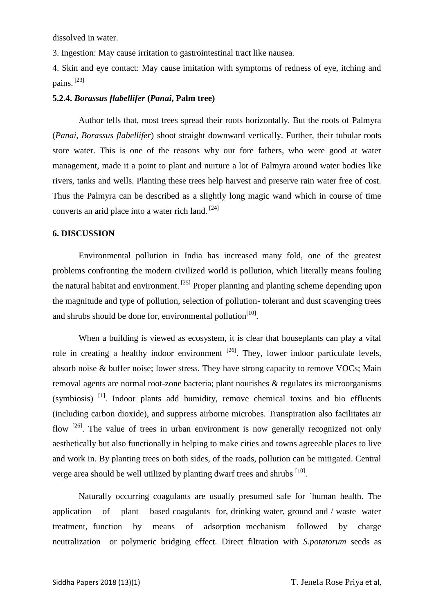dissolved in water.

3. Ingestion: May cause irritation to gastrointestinal tract like nausea.

4. Skin and eye contact: May cause imitation with symptoms of redness of eye, itching and pains.  $[23]$ 

#### **5.2.4.** *Borassus flabellifer* **(***Panai***, Palm tree)**

Author tells that, most trees spread their roots horizontally. But the roots of Palmyra (*Panai, Borassus flabellifer*) shoot straight downward vertically. Further, their tubular roots store water. This is one of the reasons why our fore fathers, who were good at water management, made it a point to plant and nurture a lot of Palmyra around water bodies like rivers, tanks and wells. Planting these trees help harvest and preserve rain water free of cost. Thus the Palmyra can be described as a slightly long magic wand which in course of time converts an arid place into a water rich land. [24]

#### **6. DISCUSSION**

Environmental pollution in India has increased many fold, one of the greatest problems confronting the modern civilized world is pollution, which literally means fouling the natural habitat and environment.  $^{[25]}$  Proper planning and planting scheme depending upon the magnitude and type of pollution, selection of pollution- tolerant and dust scavenging trees and shrubs should be done for, environmental pollution $[10]$ .

When a building is viewed as ecosystem, it is clear that houseplants can play a vital role in creating a healthy indoor environment  $^{[26]}$ . They, lower indoor particulate levels, absorb noise & buffer noise; lower stress. They have strong capacity to remove VOCs; Main removal agents are normal root-zone bacteria; plant nourishes & regulates its microorganisms (symbiosis)<sup>[1]</sup>. Indoor plants add humidity, remove chemical toxins and bio effluents (including carbon dioxide), and suppress airborne microbes. Transpiration also facilitates air flow  $[26]$ . The value of trees in urban environment is now generally recognized not only aesthetically but also functionally in helping to make cities and towns agreeable places to live and work in. By planting trees on both sides, of the roads, pollution can be mitigated. Central verge area should be well utilized by planting dwarf trees and shrubs [10].

Naturally occurring coagulants are usually presumed safe for `human health. The application of plant based coagulants for, drinking water, ground and / waste water treatment, function by means of adsorption mechanism followed by charge neutralization or polymeric bridging effect. Direct filtration with *S.potatorum* seeds as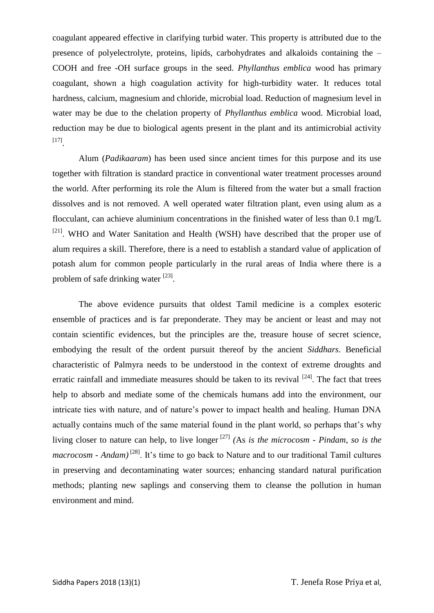coagulant appeared effective in clarifying turbid water. This property is attributed due to the presence of polyelectrolyte, proteins, lipids, carbohydrates and alkaloids containing the – COOH and free -OH surface groups in the seed. *Phyllanthus emblica* wood has primary coagulant, shown a high coagulation activity for high-turbidity water. It reduces total hardness, calcium, magnesium and chloride, microbial load. Reduction of magnesium level in water may be due to the chelation property of *Phyllanthus emblica* wood. Microbial load, reduction may be due to biological agents present in the plant and its antimicrobial activity [17] .

Alum (*Padikaaram*) has been used since ancient times for this purpose and its use together with filtration is standard practice in conventional water treatment processes around the world. After performing its role the Alum is filtered from the water but a small fraction dissolves and is not removed. A well operated water filtration plant, even using alum as a flocculant, can achieve aluminium concentrations in the finished water of less than 0.1 mg/L <sup>[21]</sup>. WHO and Water Sanitation and Health (WSH) have described that the proper use of alum requires a skill. Therefore, there is a need to establish a standard value of application of potash alum for common people particularly in the rural areas of India where there is a problem of safe drinking water [23].

The above evidence pursuits that oldest Tamil medicine is a complex esoteric ensemble of practices and is far preponderate. They may be ancient or least and may not contain scientific evidences, but the principles are the, treasure house of secret science, embodying the result of the ordent pursuit thereof by the ancient *Siddhars*. Beneficial characteristic of Palmyra needs to be understood in the context of extreme droughts and erratic rainfall and immediate measures should be taken to its revival <sup>[24]</sup>. The fact that trees help to absorb and mediate some of the chemicals humans add into the environment, our intricate ties with nature, and of nature's power to impact health and healing. Human DNA actually contains much of the same material found in the plant world, so perhaps that's why living closer to nature can help, to live longer [27] *(*As *is the microcosm - Pindam, so is the macrocosm - Andam)*[28]. It's time to go back to Nature and to our traditional Tamil cultures in preserving and decontaminating water sources; enhancing standard natural purification methods; planting new saplings and conserving them to cleanse the pollution in human environment and mind.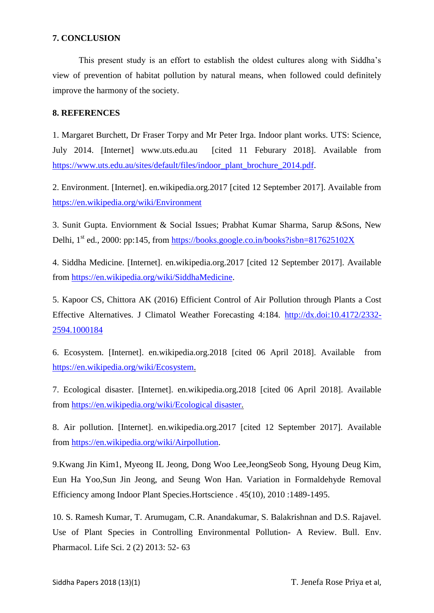## **7. CONCLUSION**

This present study is an effort to establish the oldest cultures along with Siddha's view of prevention of habitat pollution by natural means, when followed could definitely improve the harmony of the society.

# **8. REFERENCES**

1. Margaret Burchett, Dr Fraser Torpy and Mr Peter Irga. Indoor plant works. UTS: Science, July 2014. [Internet] www.uts.edu.au [cited 11 Feburary 2018]. Available from [https://www.uts.edu.au/sites/default/files/indoor\\_plant\\_brochure\\_2014.pdf.](https://www.uts.edu.au/sites/default/files/indoor_plant_brochure_2014.pdf)

2. Environment. [Internet]. en.wikipedia.org.2017 [cited 12 September 2017]. Available from <https://en.wikipedia.org/wiki/Environment>

3. Sunit Gupta. Enviornment & Social Issues; Prabhat Kumar Sharma, Sarup &Sons, New Delhi,  $1<sup>st</sup>$  ed., 2000: pp:145, from<https://books.google.co.in/books?isbn=817625102X>

4. Siddha Medicine. [Internet]. en.wikipedia.org.2017 [cited 12 September 2017]. Available from [https://en.wikipedia.org/wiki/SiddhaMedicine.](https://en.wikipedia.org/wiki/SiddhaMedicine)

5. Kapoor CS, Chittora AK (2016) Efficient Control of Air Pollution through Plants a Cost Effective Alternatives. J Climatol Weather Forecasting 4:184. [http://dx.doi:10.4172/2332-](http://dx.doi:10.4172/2332-2594.1000184) [2594.1000184](http://dx.doi:10.4172/2332-2594.1000184)

6. Ecosystem. [Internet]. en.wikipedia.org.2018 [cited 06 April 2018]. Available from [https://en.wikipedia.org/wiki/Ecosystem.](https://en.wikipedia.org/wiki/Ecosystem)

7. Ecological disaster. [Internet]. en.wikipedia.org.2018 [cited 06 April 2018]. Available from [https://en.wikipedia.org/wiki/Ecological disaster.](https://en.wikipedia.org/wiki/Ecological%20disaster)

8. Air pollution. [Internet]. en.wikipedia.org.2017 [cited 12 September 2017]. Available from [https://en.wikipedia.org/wiki/Airpollution.](https://en.wikipedia.org/wiki/Airpollution)

9.Kwang Jin Kim1, Myeong IL Jeong, Dong Woo Lee,JeongSeob Song, Hyoung Deug Kim, Eun Ha Yoo,Sun Jin Jeong, and Seung Won Han. Variation in Formaldehyde Removal Efficiency among Indoor Plant Species.Hortscience . 45(10), 2010 :1489-1495.

10. S. Ramesh Kumar, T. Arumugam, C.R. Anandakumar, S. Balakrishnan and D.S. Rajavel. Use of Plant Species in Controlling Environmental Pollution- A Review. Bull. Env. Pharmacol. Life Sci. 2 (2) 2013: 52- 63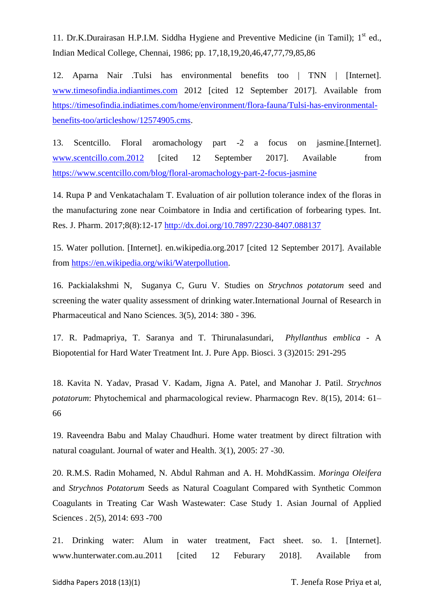11. Dr.K.Durairasan H.P.I.M. Siddha Hygiene and Preventive Medicine (in Tamil);  $1<sup>st</sup>$  ed., Indian Medical College, Chennai, 1986; pp. 17,18,19,20,46,47,77,79,85,86

12. Aparna Nair .Tulsi has environmental benefits too | TNN | [Internet]. [www.timesofindia.indiantimes.com](http://www.timesofindia.indiantimes.com/) 2012 [cited 12 September 2017]. Available from [https://timesofindia.indiatimes.com/home/environment/flora-fauna/Tulsi-has-environmental](https://timesofindia.indiatimes.com/home/environment/flora-fauna/Tulsi-has-environmental-benefits-too/articleshow/12574905.cms)[benefits-too/articleshow/12574905.cms.](https://timesofindia.indiatimes.com/home/environment/flora-fauna/Tulsi-has-environmental-benefits-too/articleshow/12574905.cms)

13. Scentcillo. Floral aromachology part -2 a focus on jasmine.[Internet]. [www.scentcillo.com.2012](http://www.scentcillo.com.2012/) [cited 12 September 2017]. Available from <https://www.scentcillo.com/blog/floral-aromachology-part-2-focus-jasmine>

14. Rupa P and Venkatachalam T. Evaluation of air pollution tolerance index of the floras in the manufacturing zone near Coimbatore in India and certification of forbearing types. Int. Res. J. Pharm. 2017;8(8):12-17<http://dx.doi.org/10.7897/2230-8407.088137>

15. Water pollution. [Internet]. en.wikipedia.org.2017 [cited 12 September 2017]. Available from [https://en.wikipedia.org/wiki/Waterpollution.](https://en.wikipedia.org/wiki/Waterpollution)

16. Packialakshmi N, Suganya C, Guru V. Studies on *Strychnos potatorum* seed and screening the water quality assessment of drinking water.International Journal of Research in Pharmaceutical and Nano Sciences. 3(5), 2014: 380 - 396.

17. R. Padmapriya, T. Saranya and T. Thirunalasundari, *Phyllanthus emblica* - A Biopotential for Hard Water Treatment Int. J. Pure App. Biosci. 3 (3)2015: 291-295

18. Kavita N. Yadav, Prasad V. Kadam, Jigna A. Patel, and Manohar J. Patil. *Strychnos potatorum*: Phytochemical and pharmacological review. Pharmacogn Rev. 8(15), 2014: 61– 66

19. Raveendra Babu and Malay Chaudhuri. Home water treatment by direct filtration with natural coagulant. Journal of water and Health. 3(1), 2005: 27 -30.

20. R.M.S. Radin Mohamed, N. Abdul Rahman and A. H. MohdKassim. *Moringa Oleifera* and *Strychnos Potatorum* Seeds as Natural Coagulant Compared with Synthetic Common Coagulants in Treating Car Wash Wastewater: Case Study 1. Asian Journal of Applied Sciences . 2(5), 2014: 693 -700

21. Drinking water: Alum in water treatment, Fact sheet. so. 1. [Internet]. www.hunterwater.com.au.2011 [cited 12 Feburary 2018]. Available from